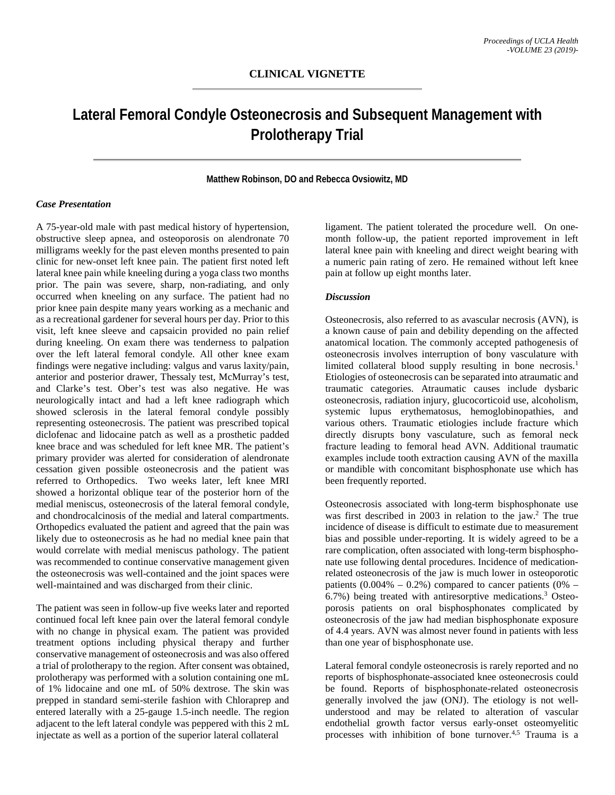# **Lateral Femoral Condyle Osteonecrosis and Subsequent Management with Prolotherapy Trial**

### **Matthew Robinson, DO and Rebecca Ovsiowitz, MD**

## *Case Presentation*

A 75-year-old male with past medical history of hypertension, obstructive sleep apnea, and osteoporosis on alendronate 70 milligrams weekly for the past eleven months presented to pain clinic for new-onset left knee pain. The patient first noted left lateral knee pain while kneeling during a yoga class two months prior. The pain was severe, sharp, non-radiating, and only occurred when kneeling on any surface. The patient had no prior knee pain despite many years working as a mechanic and as a recreational gardener for several hours per day. Prior to this visit, left knee sleeve and capsaicin provided no pain relief during kneeling. On exam there was tenderness to palpation over the left lateral femoral condyle. All other knee exam findings were negative including: valgus and varus laxity/pain, anterior and posterior drawer, Thessaly test, McMurray's test, and Clarke's test. Ober's test was also negative. He was neurologically intact and had a left knee radiograph which showed sclerosis in the lateral femoral condyle possibly representing osteonecrosis. The patient was prescribed topical diclofenac and lidocaine patch as well as a prosthetic padded knee brace and was scheduled for left knee MR. The patient's primary provider was alerted for consideration of alendronate cessation given possible osteonecrosis and the patient was referred to Orthopedics. Two weeks later, left knee MRI showed a horizontal oblique tear of the posterior horn of the medial meniscus, osteonecrosis of the lateral femoral condyle, and chondrocalcinosis of the medial and lateral compartments. Orthopedics evaluated the patient and agreed that the pain was likely due to osteonecrosis as he had no medial knee pain that would correlate with medial meniscus pathology. The patient was recommended to continue conservative management given the osteonecrosis was well-contained and the joint spaces were well-maintained and was discharged from their clinic.

The patient was seen in follow-up five weeks later and reported continued focal left knee pain over the lateral femoral condyle with no change in physical exam. The patient was provided treatment options including physical therapy and further conservative management of osteonecrosis and was also offered a trial of prolotherapy to the region. After consent was obtained, prolotherapy was performed with a solution containing one mL of 1% lidocaine and one mL of 50% dextrose. The skin was prepped in standard semi-sterile fashion with Chloraprep and entered laterally with a 25-gauge 1.5-inch needle. The region adjacent to the left lateral condyle was peppered with this 2 mL injectate as well as a portion of the superior lateral collateral

ligament. The patient tolerated the procedure well. On onemonth follow-up, the patient reported improvement in left lateral knee pain with kneeling and direct weight bearing with a numeric pain rating of zero. He remained without left knee pain at follow up eight months later.

### *Discussion*

Osteonecrosis, also referred to as avascular necrosis (AVN), is a known cause of pain and debility depending on the affected anatomical location. The commonly accepted pathogenesis of osteonecrosis involves interruption of bony vasculature with limited collateral blood supply resulting in bone necrosis.<sup>1</sup> Etiologies of osteonecrosis can be separated into atraumatic and traumatic categories. Atraumatic causes include dysbaric osteonecrosis, radiation injury, glucocorticoid use, alcoholism, systemic lupus erythematosus, hemoglobinopathies, and various others. Traumatic etiologies include fracture which directly disrupts bony vasculature, such as femoral neck fracture leading to femoral head AVN. Additional traumatic examples include tooth extraction causing AVN of the maxilla or mandible with concomitant bisphosphonate use which has been frequently reported.

Osteonecrosis associated with long-term bisphosphonate use was first described in 2003 in relation to the jaw.<sup>2</sup> The true incidence of disease is difficult to estimate due to measurement bias and possible under-reporting. It is widely agreed to be a rare complication, often associated with long-term bisphosphonate use following dental procedures. Incidence of medicationrelated osteonecrosis of the jaw is much lower in osteoporotic patients  $(0.004\% - 0.2\%)$  compared to cancer patients  $(0\% -$ 6.7%) being treated with antiresorptive medications.3 Osteoporosis patients on oral bisphosphonates complicated by osteonecrosis of the jaw had median bisphosphonate exposure of 4.4 years. AVN was almost never found in patients with less than one year of bisphosphonate use.

Lateral femoral condyle osteonecrosis is rarely reported and no reports of bisphosphonate-associated knee osteonecrosis could be found. Reports of bisphosphonate-related osteonecrosis generally involved the jaw (ONJ). The etiology is not wellunderstood and may be related to alteration of vascular endothelial growth factor versus early-onset osteomyelitic processes with inhibition of bone turnover.<sup>4,5</sup> Trauma is a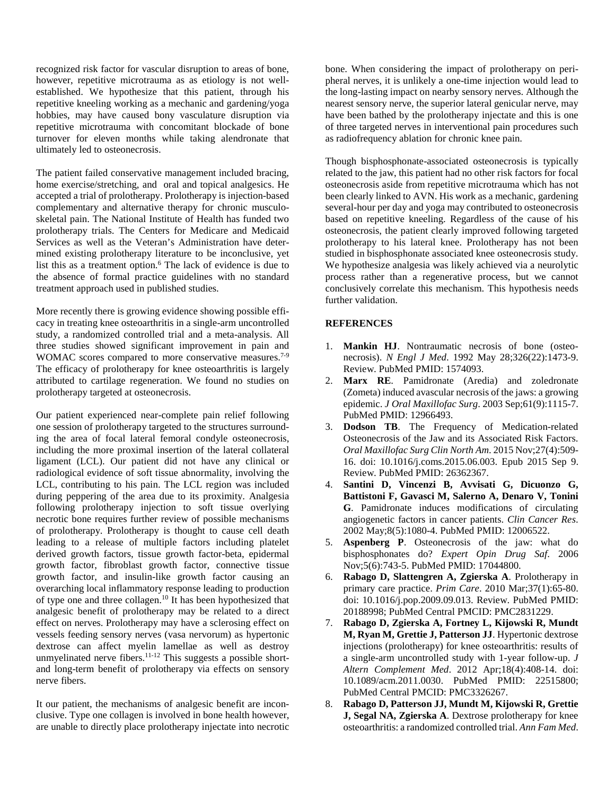recognized risk factor for vascular disruption to areas of bone, however, repetitive microtrauma as as etiology is not wellestablished. We hypothesize that this patient, through his repetitive kneeling working as a mechanic and gardening/yoga hobbies, may have caused bony vasculature disruption via repetitive microtrauma with concomitant blockade of bone turnover for eleven months while taking alendronate that ultimately led to osteonecrosis.

The patient failed conservative management included bracing, home exercise/stretching, and oral and topical analgesics. He accepted a trial of prolotherapy. Prolotherapy is injection-based complementary and alternative therapy for chronic musculoskeletal pain. The National Institute of Health has funded two prolotherapy trials. The Centers for Medicare and Medicaid Services as well as the Veteran's Administration have determined existing prolotherapy literature to be inconclusive, yet list this as a treatment option.<sup>6</sup> The lack of evidence is due to the absence of formal practice guidelines with no standard treatment approach used in published studies.

More recently there is growing evidence showing possible efficacy in treating knee osteoarthritis in a single-arm uncontrolled study, a randomized controlled trial and a meta-analysis. All three studies showed significant improvement in pain and WOMAC scores compared to more conservative measures.<sup>7-9</sup> The efficacy of prolotherapy for knee osteoarthritis is largely attributed to cartilage regeneration. We found no studies on prolotherapy targeted at osteonecrosis.

Our patient experienced near-complete pain relief following one session of prolotherapy targeted to the structures surrounding the area of focal lateral femoral condyle osteonecrosis, including the more proximal insertion of the lateral collateral ligament (LCL). Our patient did not have any clinical or radiological evidence of soft tissue abnormality, involving the LCL, contributing to his pain. The LCL region was included during peppering of the area due to its proximity. Analgesia following prolotherapy injection to soft tissue overlying necrotic bone requires further review of possible mechanisms of prolotherapy. Prolotherapy is thought to cause cell death leading to a release of multiple factors including platelet derived growth factors, tissue growth factor-beta, epidermal growth factor, fibroblast growth factor, connective tissue growth factor, and insulin-like growth factor causing an overarching local inflammatory response leading to production of type one and three collagen.10 It has been hypothesized that analgesic benefit of prolotherapy may be related to a direct effect on nerves. Prolotherapy may have a sclerosing effect on vessels feeding sensory nerves (vasa nervorum) as hypertonic dextrose can affect myelin lamellae as well as destroy unmyelinated nerve fibers. $11-12$  This suggests a possible shortand long-term benefit of prolotherapy via effects on sensory nerve fibers.

It our patient, the mechanisms of analgesic benefit are inconclusive. Type one collagen is involved in bone health however, are unable to directly place prolotherapy injectate into necrotic

bone. When considering the impact of prolotherapy on peripheral nerves, it is unlikely a one-time injection would lead to the long-lasting impact on nearby sensory nerves. Although the nearest sensory nerve, the superior lateral genicular nerve, may have been bathed by the prolotherapy injectate and this is one of three targeted nerves in interventional pain procedures such as radiofrequency ablation for chronic knee pain.

Though bisphosphonate-associated osteonecrosis is typically related to the jaw, this patient had no other risk factors for focal osteonecrosis aside from repetitive microtrauma which has not been clearly linked to AVN. His work as a mechanic, gardening several-hour per day and yoga may contributed to osteonecrosis based on repetitive kneeling. Regardless of the cause of his osteonecrosis, the patient clearly improved following targeted prolotherapy to his lateral knee. Prolotherapy has not been studied in bisphosphonate associated knee osteonecrosis study. We hypothesize analgesia was likely achieved via a neurolytic process rather than a regenerative process, but we cannot conclusively correlate this mechanism. This hypothesis needs further validation.

## **REFERENCES**

- 1. **Mankin HJ**. Nontraumatic necrosis of bone (osteonecrosis). *N Engl J Med*. 1992 May 28;326(22):1473-9. Review. PubMed PMID: 1574093.
- 2. **Marx RE**. Pamidronate (Aredia) and zoledronate (Zometa) induced avascular necrosis of the jaws: a growing epidemic. *J Oral Maxillofac Surg*. 2003 Sep;61(9):1115-7. PubMed PMID: 12966493.
- 3. **Dodson TB**. The Frequency of Medication-related Osteonecrosis of the Jaw and its Associated Risk Factors. *Oral Maxillofac Surg Clin North Am*. 2015 Nov;27(4):509- 16. doi: 10.1016/j.coms.2015.06.003. Epub 2015 Sep 9. Review. PubMed PMID: 26362367.
- 4. **Santini D, Vincenzi B, Avvisati G, Dicuonzo G, Battistoni F, Gavasci M, Salerno A, Denaro V, Tonini G**. Pamidronate induces modifications of circulating angiogenetic factors in cancer patients. *Clin Cancer Res*. 2002 May;8(5):1080-4. PubMed PMID: 12006522.
- 5. **Aspenberg P**. Osteonecrosis of the jaw: what do bisphosphonates do? *Expert Opin Drug Saf*. 2006 Nov;5(6):743-5. PubMed PMID: 17044800.
- 6. **Rabago D, Slattengren A, Zgierska A**. Prolotherapy in primary care practice. *Prim Care*. 2010 Mar;37(1):65-80. doi: 10.1016/j.pop.2009.09.013. Review. PubMed PMID: 20188998; PubMed Central PMCID: PMC2831229.
- 7. **Rabago D, Zgierska A, Fortney L, Kijowski R, Mundt M, Ryan M, Grettie J, Patterson JJ**. Hypertonic dextrose injections (prolotherapy) for knee osteoarthritis: results of a single-arm uncontrolled study with 1-year follow-up. *J Altern Complement Med*. 2012 Apr;18(4):408-14. doi: 10.1089/acm.2011.0030. PubMed PMID: 22515800; PubMed Central PMCID: PMC3326267.
- 8. **Rabago D, Patterson JJ, Mundt M, Kijowski R, Grettie J, Segal NA, Zgierska A**. Dextrose prolotherapy for knee osteoarthritis: a randomized controlled trial. *Ann Fam Med*.